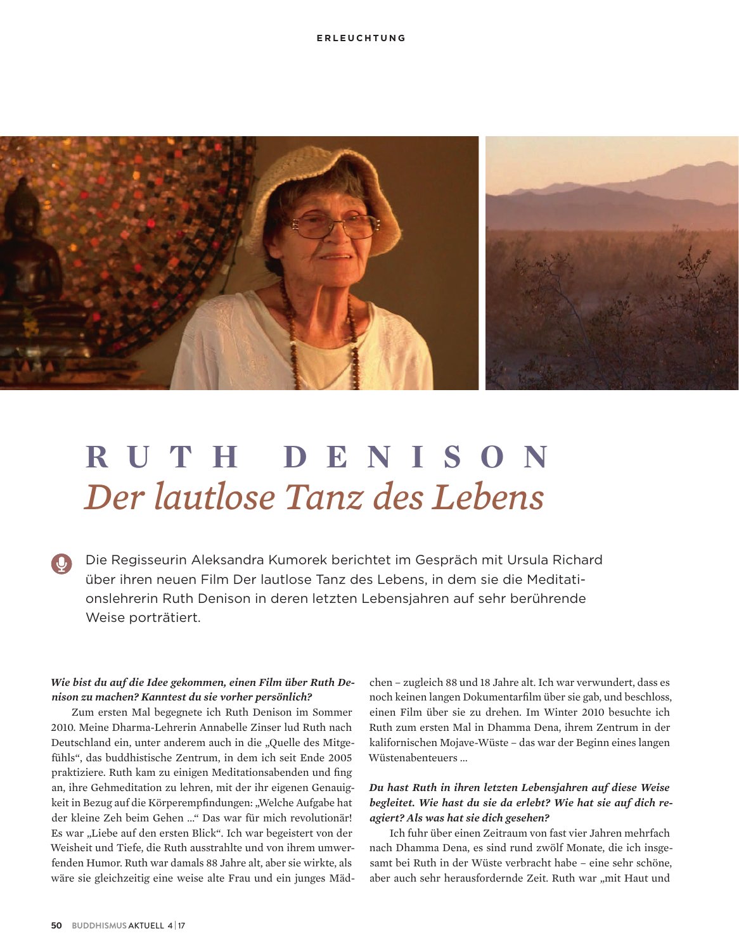

# RUTH DENISON Der lautlose Tanz des Lebens

Die Regisseurin Aleksandra Kumorek berichtet im Gespräch mit Ursula Richard über ihren neuen Film Der lautlose Tanz des Lebens, in dem sie die Meditationslehrerin Ruth Denison in deren letzten Lebensjahren auf sehr berührende Weise porträtiert.

## Wie bist du auf die Idee gekommen, einen Film über Ruth Denison zu machen? Kanntest du sie vorher persönlich?

Zum ersten Mal begegnete ich Ruth Denison im Sommer 2010. Meine Dharma-Lehrerin Annabelle Zinser lud Ruth nach Deutschland ein, unter anderem auch in die "Quelle des Mitgefühls", das buddhistische Zentrum, in dem ich seit Ende 2005 praktiziere. Ruth kam zu einigen Meditationsabenden und fing an, ihre Gehmeditation zu lehren, mit der ihr eigenen Genauigkeit in Bezug auf die Körperempfindungen: "Welche Aufgabe hat der kleine Zeh beim Gehen ..." Das war für mich revolutionär! Es war "Liebe auf den ersten Blick". Ich war begeistert von der Weisheit und Tiefe, die Ruth ausstrahlte und von ihrem umwerfenden Humor, Ruth war damals 88 Jahre alt, aber sie wirkte, als wäre sie gleichzeitig eine weise alte Frau und ein junges Mädchen - zugleich 88 und 18 Jahre alt. Ich war verwundert, dass es noch keinen langen Dokumentarfilm über sie gab, und beschloss, einen Film über sie zu drehen. Im Winter 2010 besuchte ich Ruth zum ersten Mal in Dhamma Dena, ihrem Zentrum in der kalifornischen Mojave-Wüste - das war der Beginn eines langen Wüstenabenteuers...

#### Du hast Ruth in ihren letzten Lebensjahren auf diese Weise begleitet. Wie hast du sie da erlebt? Wie hat sie auf dich reagiert? Als was hat sie dich gesehen?

Ich fuhr über einen Zeitraum von fast vier Jahren mehrfach nach Dhamma Dena, es sind rund zwölf Monate, die ich insgesamt bei Ruth in der Wüste verbracht habe - eine sehr schöne, aber auch sehr herausfordernde Zeit. Ruth war "mit Haut und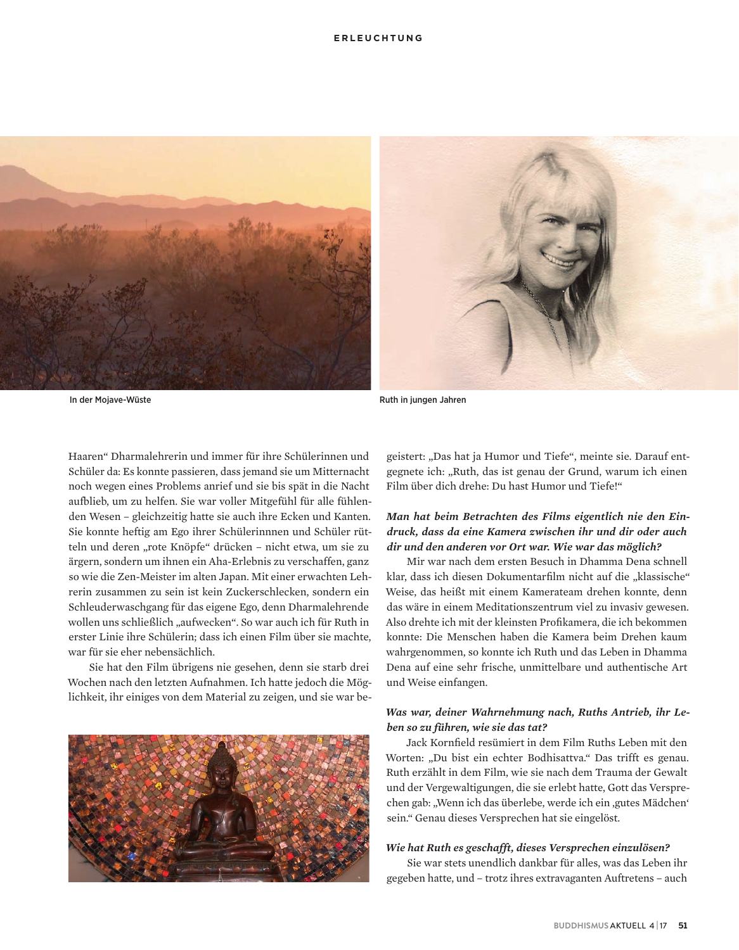#### **ERLEUCHTUNG**



In der Mojave-Wüste

Ruth in jungen Jahren

Haaren" Dharmalehrerin und immer für ihre Schülerinnen und Schüler da: Es konnte passieren, dass jemand sie um Mitternacht noch wegen eines Problems anrief und sie bis spät in die Nacht aufblieb, um zu helfen. Sie war voller Mitgefühl für alle fühlenden Wesen - gleichzeitig hatte sie auch ihre Ecken und Kanten. Sie konnte heftig am Ego ihrer Schülerinnnen und Schüler rütteln und deren "rote Knöpfe" drücken - nicht etwa, um sie zu ärgern, sondern um ihnen ein Aha-Erlebnis zu verschaffen, ganz so wie die Zen-Meister im alten Japan. Mit einer erwachten Lehrerin zusammen zu sein ist kein Zuckerschlecken, sondern ein Schleuderwaschgang für das eigene Ego, denn Dharmalehrende wollen uns schließlich "aufwecken". So war auch ich für Ruth in erster Linie ihre Schülerin: dass ich einen Film über sie machte. war für sie eher nebensächlich.

Sie hat den Film übrigens nie gesehen, denn sie starb drei Wochen nach den letzten Aufnahmen. Ich hatte jedoch die Möglichkeit, ihr einiges von dem Material zu zeigen, und sie war be-



geistert: "Das hat ja Humor und Tiefe", meinte sie. Darauf entgegnete ich: "Ruth, das ist genau der Grund, warum ich einen Film über dich drehe: Du hast Humor und Tiefe!"

### Man hat beim Betrachten des Films eigentlich nie den Eindruck, dass da eine Kamera zwischen ihr und dir oder auch dir und den anderen vor Ort war. Wie war das möglich?

Mir war nach dem ersten Besuch in Dhamma Dena schnell klar, dass ich diesen Dokumentarfilm nicht auf die "klassische" Weise, das heißt mit einem Kamerateam drehen konnte, denn das wäre in einem Meditationszentrum viel zu invasiv gewesen. Also drehte ich mit der kleinsten Profikamera, die ich bekommen konnte: Die Menschen haben die Kamera beim Drehen kaum wahrgenommen, so konnte ich Ruth und das Leben in Dhamma Dena auf eine sehr frische, unmittelbare und authentische Art und Weise einfangen.

# Was war, deiner Wahrnehmung nach, Ruths Antrieb, ihr Leben so zu führen, wie sie das tat?

Jack Kornfield resümiert in dem Film Ruths Leben mit den Worten: "Du bist ein echter Bodhisattva." Das trifft es genau. Ruth erzählt in dem Film, wie sie nach dem Trauma der Gewalt und der Vergewaltigungen, die sie erlebt hatte, Gott das Versprechen gab: "Wenn ich das überlebe, werde ich ein "gutes Mädchen" sein." Genau dieses Versprechen hat sie eingelöst.

#### Wie hat Ruth es geschafft, dieses Versprechen einzulösen?

Sie war stets unendlich dankbar für alles, was das Leben ihr gegeben hatte, und - trotz ihres extravaganten Auftretens - auch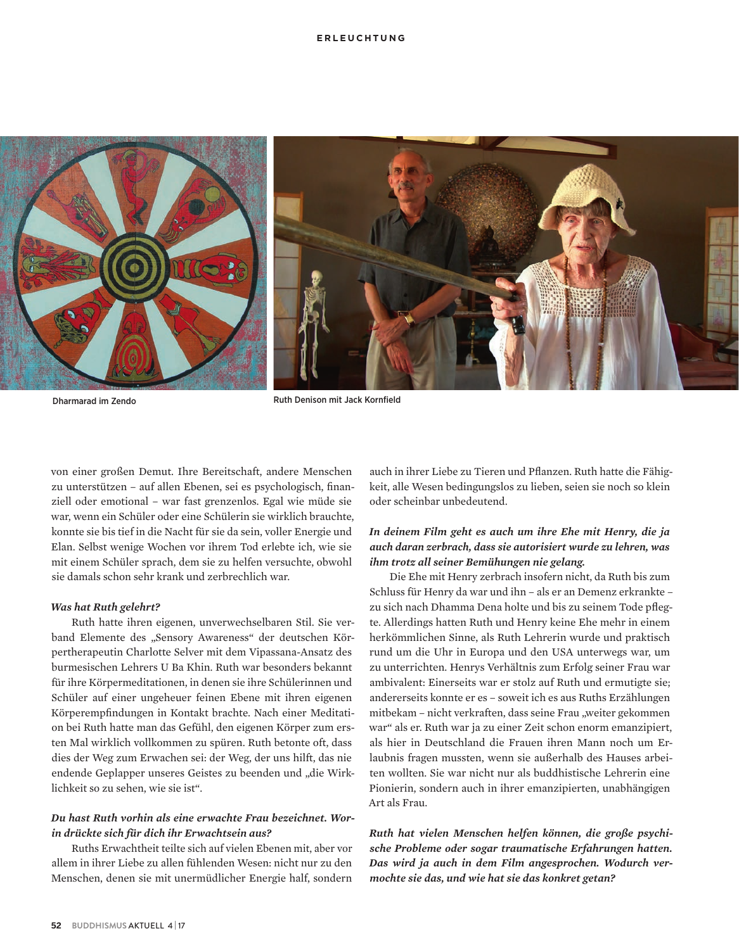#### **ERLEUCHTUNG**



Dharmarad im Zendo

Ruth Denison mit Jack Kornfield

von einer großen Demut. Ihre Bereitschaft, andere Menschen zu unterstützen – auf allen Ebenen, sei es psychologisch, finanziell oder emotional - war fast grenzenlos. Egal wie müde sie war, wenn ein Schüler oder eine Schülerin sie wirklich brauchte, konnte sie bis tief in die Nacht für sie da sein, voller Energie und Elan. Selbst wenige Wochen vor ihrem Tod erlebte ich, wie sie mit einem Schüler sprach, dem sie zu helfen versuchte, obwohl sie damals schon sehr krank und zerbrechlich war.

#### **Was hat Ruth gelehrt?**

Ruth hatte ihren eigenen, unverwechselbaren Stil. Sie verband Elemente des "Sensory Awareness" der deutschen Körpertherapeutin Charlotte Selver mit dem Vipassana-Ansatz des burmesischen Lehrers U Ba Khin. Ruth war besonders bekannt für ihre Körpermeditationen, in denen sie ihre Schülerinnen und Schüler auf einer ungeheuer feinen Ebene mit ihren eigenen Körperempfindungen in Kontakt brachte. Nach einer Meditation bei Ruth hatte man das Gefühl, den eigenen Körper zum ersten Mal wirklich vollkommen zu spüren. Ruth betonte oft, dass dies der Weg zum Erwachen sei: der Weg, der uns hilft, das nie endende Geplapper unseres Geistes zu beenden und "die Wirklichkeit so zu sehen, wie sie ist".

### Du hast Ruth vorhin als eine erwachte Frau bezeichnet. Worin drückte sich für dich ihr Erwachtsein aus?

Ruths Erwachtheit teilte sich auf vielen Ebenen mit, aber vor allem in ihrer Liebe zu allen fühlenden Wesen: nicht nur zu den Menschen, denen sie mit unermüdlicher Energie half, sondern

auch in ihrer Liebe zu Tieren und Pflanzen. Ruth hatte die Fähigkeit, alle Wesen bedingungslos zu lieben, seien sie noch so klein oder scheinbar unbedeutend.

#### In deinem Film geht es auch um ihre Ehe mit Henry, die ja auch daran zerbrach, dass sie autorisiert wurde zu lehren, was ihm trotz all seiner Bemühungen nie gelang.

Die Ehe mit Henry zerbrach insofern nicht, da Ruth bis zum Schluss für Henry da war und ihn - als er an Demenz erkrankte zu sich nach Dhamma Dena holte und bis zu seinem Tode pflegte. Allerdings hatten Ruth und Henry keine Ehe mehr in einem herkömmlichen Sinne, als Ruth Lehrerin wurde und praktisch rund um die Uhr in Europa und den USA unterwegs war, um zu unterrichten. Henrys Verhältnis zum Erfolg seiner Frau war ambivalent: Einerseits war er stolz auf Ruth und ermutigte sie; andererseits konnte er es - soweit ich es aus Ruths Erzählungen mitbekam - nicht verkraften, dass seine Frau "weiter gekommen war" als er. Ruth war ja zu einer Zeit schon enorm emanzipiert, als hier in Deutschland die Frauen ihren Mann noch um Erlaubnis fragen mussten, wenn sie außerhalb des Hauses arbeiten wollten. Sie war nicht nur als buddhistische Lehrerin eine Pionierin, sondern auch in ihrer emanzipierten, unabhängigen Art als Frau.

Ruth hat vielen Menschen helfen können, die große psychische Probleme oder sogar traumatische Erfahrungen hatten. Das wird ja auch in dem Film angesprochen. Wodurch vermochte sie das, und wie hat sie das konkret getan?